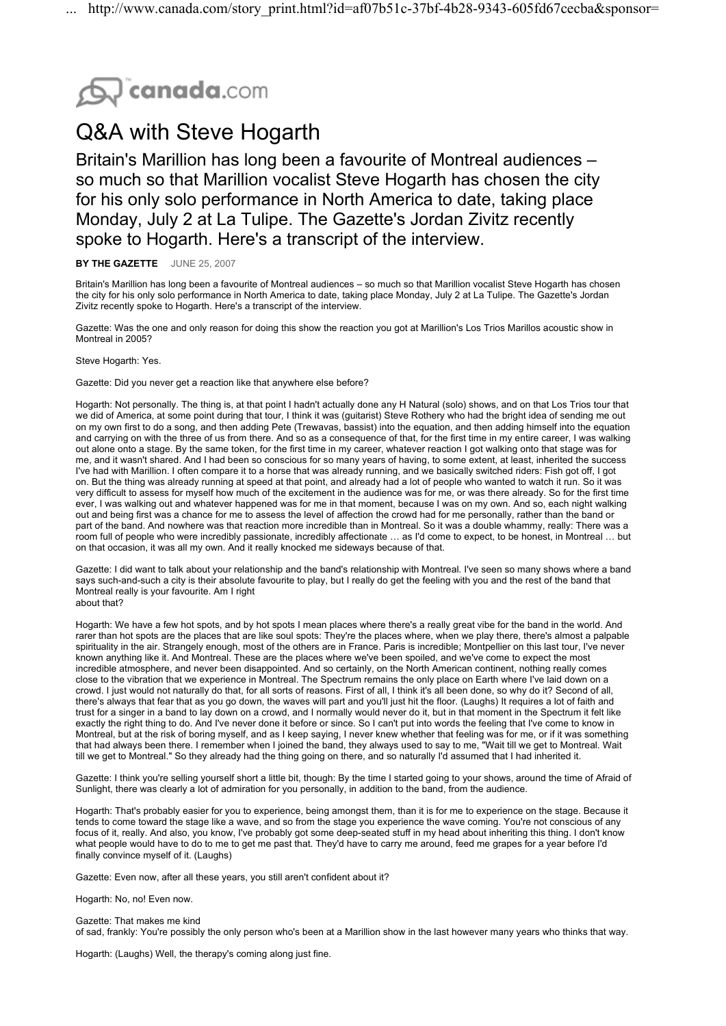

## Q&A with Steve Hogarth

Britain's Marillion has long been a favourite of Montreal audiences – so much so that Marillion vocalist Steve Hogarth has chosen the city for his only solo performance in North America to date, taking place Monday, July 2 at La Tulipe. The Gazette's Jordan Zivitz recently spoke to Hogarth. Here's a transcript of the interview.

## BY THE GAZETTE JUNE 25, 2007

Britain's Marillion has long been a favourite of Montreal audiences – so much so that Marillion vocalist Steve Hogarth has chosen the city for his only solo performance in North America to date, taking place Monday, July 2 at La Tulipe. The Gazette's Jordan Zivitz recently spoke to Hogarth. Here's a transcript of the interview.

Gazette: Was the one and only reason for doing this show the reaction you got at Marillion's Los Trios Marillos acoustic show in Montreal in 2005?

Steve Hogarth: Yes.

Gazette: Did you never get a reaction like that anywhere else before?

Hogarth: Not personally. The thing is, at that point I hadn't actually done any H Natural (solo) shows, and on that Los Trios tour that we did of America, at some point during that tour, I think it was (guitarist) Steve Rothery who had the bright idea of sending me out on my own first to do a song, and then adding Pete (Trewavas, bassist) into the equation, and then adding himself into the equation and carrying on with the three of us from there. And so as a consequence of that, for the first time in my entire career, I was walking out alone onto a stage. By the same token, for the first time in my career, whatever reaction I got walking onto that stage was for me, and it wasn't shared. And I had been so conscious for so many years of having, to some extent, at least, inherited the success I've had with Marillion. I often compare it to a horse that was already running, and we basically switched riders: Fish got off, I got on. But the thing was already running at speed at that point, and already had a lot of people who wanted to watch it run. So it was very difficult to assess for myself how much of the excitement in the audience was for me, or was there already. So for the first time ever, I was walking out and whatever happened was for me in that moment, because I was on my own. And so, each night walking out and being first was a chance for me to assess the level of affection the crowd had for me personally, rather than the band or part of the band. And nowhere was that reaction more incredible than in Montreal. So it was a double whammy, really: There was a room full of people who were incredibly passionate, incredibly affectionate … as I'd come to expect, to be honest, in Montreal … but on that occasion, it was all my own. And it really knocked me sideways because of that.

Gazette: I did want to talk about your relationship and the band's relationship with Montreal. I've seen so many shows where a band says such-and-such a city is their absolute favourite to play, but I really do get the feeling with you and the rest of the band that Montreal really is your favourite. Am I right about that?

Hogarth: We have a few hot spots, and by hot spots I mean places where there's a really great vibe for the band in the world. And rarer than hot spots are the places that are like soul spots: They're the places where, when we play there, there's almost a palpable spirituality in the air. Strangely enough, most of the others are in France. Paris is incredible; Montpellier on this last tour, I've never known anything like it. And Montreal. These are the places where we've been spoiled, and we've come to expect the most incredible atmosphere, and never been disappointed. And so certainly, on the North American continent, nothing really comes close to the vibration that we experience in Montreal. The Spectrum remains the only place on Earth where I've laid down on a crowd. I just would not naturally do that, for all sorts of reasons. First of all, I think it's all been done, so why do it? Second of all, there's always that fear that as you go down, the waves will part and you'll just hit the floor. (Laughs) It requires a lot of faith and trust for a singer in a band to lay down on a crowd, and I normally would never do it, but in that moment in the Spectrum it felt like exactly the right thing to do. And I've never done it before or since. So I can't put into words the feeling that I've come to know in Montreal, but at the risk of boring myself, and as I keep saying, I never knew whether that feeling was for me, or if it was something that had always been there. I remember when I joined the band, they always used to say to me, "Wait till we get to Montreal. Wait till we get to Montreal." So they already had the thing going on there, and so naturally I'd assumed that I had inherited it.

Gazette: I think you're selling yourself short a little bit, though: By the time I started going to your shows, around the time of Afraid of Sunlight, there was clearly a lot of admiration for you personally, in addition to the band, from the audience.

Hogarth: That's probably easier for you to experience, being amongst them, than it is for me to experience on the stage. Because it tends to come toward the stage like a wave, and so from the stage you experience the wave coming. You're not conscious of any focus of it, really. And also, you know, I've probably got some deep-seated stuff in my head about inheriting this thing. I don't know what people would have to do to me to get me past that. They'd have to carry me around, feed me grapes for a year before I'd finally convince myself of it. (Laughs)

Gazette: Even now, after all these years, you still aren't confident about it?

Hogarth: No, no! Even now.

Gazette: That makes me kind of sad, frankly: You're possibly the only person who's been at a Marillion show in the last however many years who thinks that way.

Hogarth: (Laughs) Well, the therapy's coming along just fine.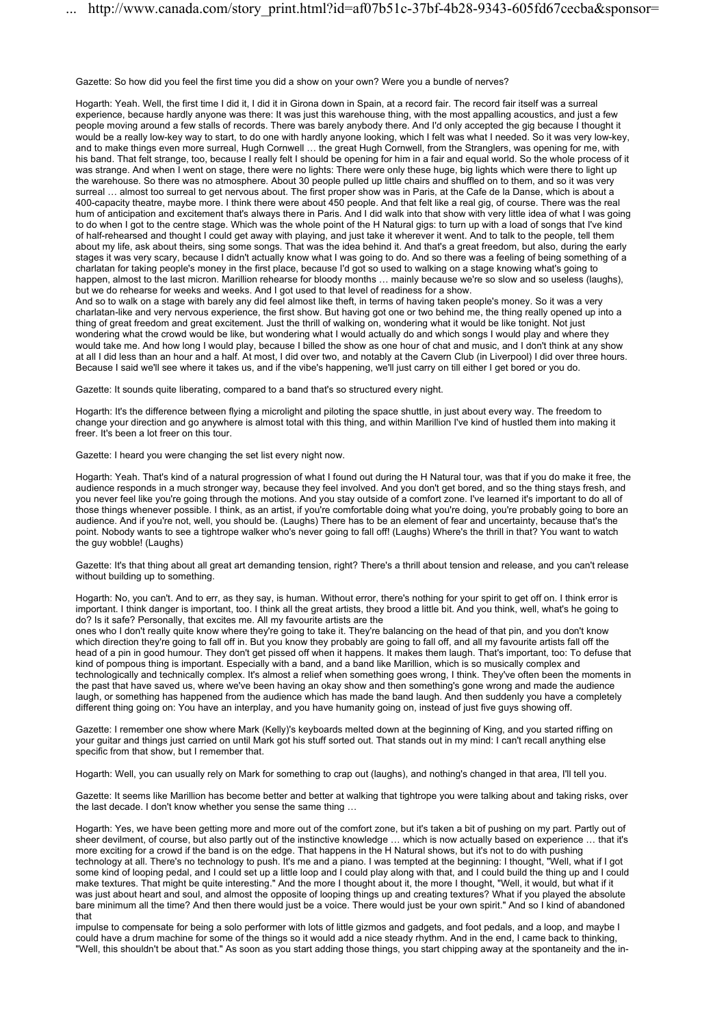Gazette: So how did you feel the first time you did a show on your own? Were you a bundle of nerves?

Hogarth: Yeah. Well, the first time I did it, I did it in Girona down in Spain, at a record fair. The record fair itself was a surreal experience, because hardly anyone was there: It was just this warehouse thing, with the most appalling acoustics, and just a few people moving around a few stalls of records. There was barely anybody there. And I'd only accepted the gig because I thought it would be a really low-key way to start, to do one with hardly anyone looking, which I felt was what I needed. So it was very low-key, and to make things even more surreal, Hugh Cornwell … the great Hugh Cornwell, from the Stranglers, was opening for me, with his band. That felt strange, too, because I really felt I should be opening for him in a fair and equal world. So the whole process of it was strange. And when I went on stage, there were no lights: There were only these huge, big lights which were there to light up the warehouse. So there was no atmosphere. About 30 people pulled up little chairs and shuffled on to them, and so it was very surreal … almost too surreal to get nervous about. The first proper show was in Paris, at the Cafe de la Danse, which is about a 400-capacity theatre, maybe more. I think there were about 450 people. And that felt like a real gig, of course. There was the real hum of anticipation and excitement that's always there in Paris. And I did walk into that show with very little idea of what I was going to do when I got to the centre stage. Which was the whole point of the H Natural gigs: to turn up with a load of songs that I've kind of half-rehearsed and thought I could get away with playing, and just take it wherever it went. And to talk to the people, tell them about my life, ask about theirs, sing some songs. That was the idea behind it. And that's a great freedom, but also, during the early stages it was very scary, because I didn't actually know what I was going to do. And so there was a feeling of being something of a charlatan for taking people's money in the first place, because I'd got so used to walking on a stage knowing what's going to happen, almost to the last micron. Marillion rehearse for bloody months … mainly because we're so slow and so useless (laughs), but we do rehearse for weeks and weeks. And I got used to that level of readiness for a show.

And so to walk on a stage with barely any did feel almost like theft, in terms of having taken people's money. So it was a very charlatan-like and very nervous experience, the first show. But having got one or two behind me, the thing really opened up into a thing of great freedom and great excitement. Just the thrill of walking on, wondering what it would be like tonight. Not just wondering what the crowd would be like, but wondering what I would actually do and which songs I would play and where they would take me. And how long I would play, because I billed the show as one hour of chat and music, and I don't think at any show at all I did less than an hour and a half. At most, I did over two, and notably at the Cavern Club (in Liverpool) I did over three hours. Because I said we'll see where it takes us, and if the vibe's happening, we'll just carry on till either I get bored or you do.

Gazette: It sounds quite liberating, compared to a band that's so structured every night.

Hogarth: It's the difference between flying a microlight and piloting the space shuttle, in just about every way. The freedom to change your direction and go anywhere is almost total with this thing, and within Marillion I've kind of hustled them into making it freer. It's been a lot freer on this tour.

Gazette: I heard you were changing the set list every night now.

Hogarth: Yeah. That's kind of a natural progression of what I found out during the H Natural tour, was that if you do make it free, the audience responds in a much stronger way, because they feel involved. And you don't get bored, and so the thing stays fresh, and you never feel like you're going through the motions. And you stay outside of a comfort zone. I've learned it's important to do all of those things whenever possible. I think, as an artist, if you're comfortable doing what you're doing, you're probably going to bore an audience. And if you're not, well, you should be. (Laughs) There has to be an element of fear and uncertainty, because that's the point. Nobody wants to see a tightrope walker who's never going to fall off! (Laughs) Where's the thrill in that? You want to watch the guy wobble! (Laughs)

Gazette: It's that thing about all great art demanding tension, right? There's a thrill about tension and release, and you can't release without building up to something.

Hogarth: No, you can't. And to err, as they say, is human. Without error, there's nothing for your spirit to get off on. I think error is important. I think danger is important, too. I think all the great artists, they brood a little bit. And you think, well, what's he going to do? Is it safe? Personally, that excites me. All my favourite artists are the

ones who I don't really quite know where they're going to take it. They're balancing on the head of that pin, and you don't know which direction they're going to fall off in. But you know they probably are going to fall off, and all my favourite artists fall off the head of a pin in good humour. They don't get pissed off when it happens. It makes them laugh. That's important, too: To defuse that kind of pompous thing is important. Especially with a band, and a band like Marillion, which is so musically complex and technologically and technically complex. It's almost a relief when something goes wrong, I think. They've often been the moments in the past that have saved us, where we've been having an okay show and then something's gone wrong and made the audience laugh, or something has happened from the audience which has made the band laugh. And then suddenly you have a completely different thing going on: You have an interplay, and you have humanity going on, instead of just five guys showing off.

Gazette: I remember one show where Mark (Kelly)'s keyboards melted down at the beginning of King, and you started riffing on your guitar and things just carried on until Mark got his stuff sorted out. That stands out in my mind: I can't recall anything else specific from that show, but I remember that.

Hogarth: Well, you can usually rely on Mark for something to crap out (laughs), and nothing's changed in that area, I'll tell you.

Gazette: It seems like Marillion has become better and better at walking that tightrope you were talking about and taking risks, over the last decade. I don't know whether you sense the same thing …

Hogarth: Yes, we have been getting more and more out of the comfort zone, but it's taken a bit of pushing on my part. Partly out of sheer devilment, of course, but also partly out of the instinctive knowledge … which is now actually based on experience … that it's more exciting for a crowd if the band is on the edge. That happens in the H Natural shows, but it's not to do with pushing technology at all. There's no technology to push. It's me and a piano. I was tempted at the beginning: I thought, "Well, what if I got some kind of looping pedal, and I could set up a little loop and I could play along with that, and I could build the thing up and I could make textures. That might be quite interesting." And the more I thought about it, the more I thought, "Well, it would, but what if it was just about heart and soul, and almost the opposite of looping things up and creating textures? What if you played the absolute bare minimum all the time? And then there would just be a voice. There would just be your own spirit." And so I kind of abandoned that

impulse to compensate for being a solo performer with lots of little gizmos and gadgets, and foot pedals, and a loop, and maybe I could have a drum machine for some of the things so it would add a nice steady rhythm. And in the end, I came back to thinking, "Well, this shouldn't be about that." As soon as you start adding those things, you start chipping away at the spontaneity and the in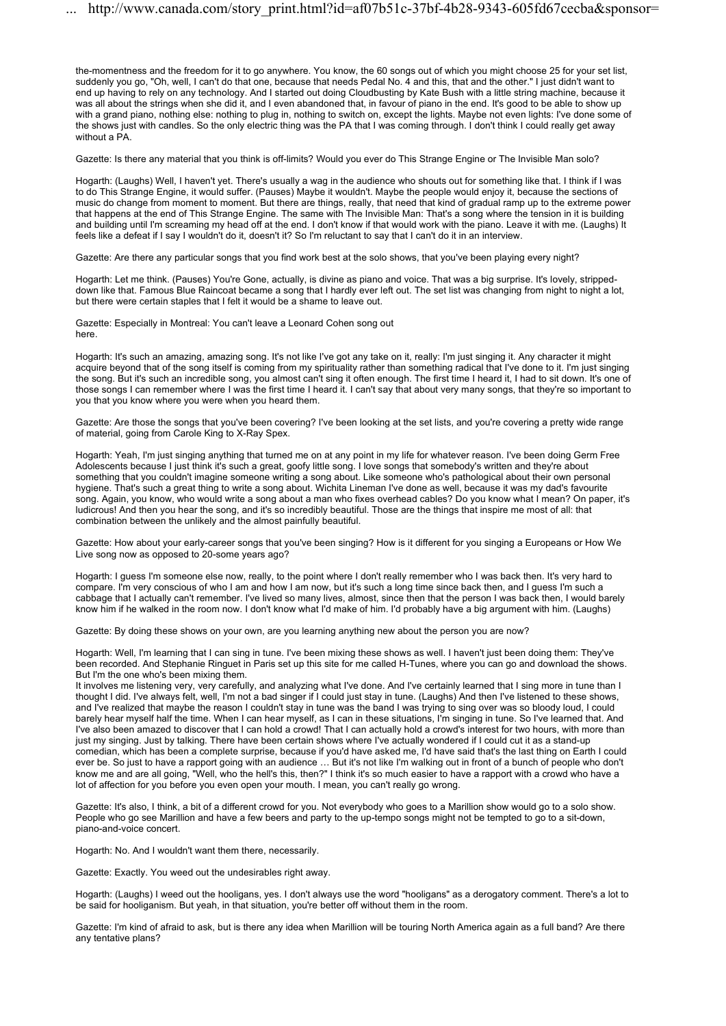the-momentness and the freedom for it to go anywhere. You know, the 60 songs out of which you might choose 25 for your set list, suddenly you go, "Oh, well, I can't do that one, because that needs Pedal No. 4 and this, that and the other." I just didn't want to end up having to rely on any technology. And I started out doing Cloudbusting by Kate Bush with a little string machine, because it was all about the strings when she did it, and I even abandoned that, in favour of piano in the end. It's good to be able to show up with a grand piano, nothing else: nothing to plug in, nothing to switch on, except the lights. Maybe not even lights: I've done some of the shows just with candles. So the only electric thing was the PA that I was coming through. I don't think I could really get away without a PA.

Gazette: Is there any material that you think is off-limits? Would you ever do This Strange Engine or The Invisible Man solo?

Hogarth: (Laughs) Well, I haven't yet. There's usually a wag in the audience who shouts out for something like that. I think if I was to do This Strange Engine, it would suffer. (Pauses) Maybe it wouldn't. Maybe the people would enjoy it, because the sections of music do change from moment to moment. But there are things, really, that need that kind of gradual ramp up to the extreme power that happens at the end of This Strange Engine. The same with The Invisible Man: That's a song where the tension in it is building and building until I'm screaming my head off at the end. I don't know if that would work with the piano. Leave it with me. (Laughs) It feels like a defeat if I say I wouldn't do it, doesn't it? So I'm reluctant to say that I can't do it in an interview.

Gazette: Are there any particular songs that you find work best at the solo shows, that you've been playing every night?

Hogarth: Let me think. (Pauses) You're Gone, actually, is divine as piano and voice. That was a big surprise. It's lovely, strippeddown like that. Famous Blue Raincoat became a song that I hardly ever left out. The set list was changing from night to night a lot, but there were certain staples that I felt it would be a shame to leave out.

Gazette: Especially in Montreal: You can't leave a Leonard Cohen song out here.

Hogarth: It's such an amazing, amazing song. It's not like I've got any take on it, really: I'm just singing it. Any character it might acquire beyond that of the song itself is coming from my spirituality rather than something radical that I've done to it. I'm just singing the song. But it's such an incredible song, you almost can't sing it often enough. The first time I heard it, I had to sit down. It's one of those songs I can remember where I was the first time I heard it. I can't say that about very many songs, that they're so important to you that you know where you were when you heard them.

Gazette: Are those the songs that you've been covering? I've been looking at the set lists, and you're covering a pretty wide range of material, going from Carole King to X-Ray Spex.

Hogarth: Yeah, I'm just singing anything that turned me on at any point in my life for whatever reason. I've been doing Germ Free Adolescents because I just think it's such a great, goofy little song. I love songs that somebody's written and they're about something that you couldn't imagine someone writing a song about. Like someone who's pathological about their own personal hygiene. That's such a great thing to write a song about. Wichita Lineman I've done as well, because it was my dad's favourite song. Again, you know, who would write a song about a man who fixes overhead cables? Do you know what I mean? On paper, it's ludicrous! And then you hear the song, and it's so incredibly beautiful. Those are the things that inspire me most of all: that combination between the unlikely and the almost painfully beautiful.

Gazette: How about your early-career songs that you've been singing? How is it different for you singing a Europeans or How We Live song now as opposed to 20-some years ago?

Hogarth: I guess I'm someone else now, really, to the point where I don't really remember who I was back then. It's very hard to compare. I'm very conscious of who I am and how I am now, but it's such a long time since back then, and I guess I'm such a cabbage that I actually can't remember. I've lived so many lives, almost, since then that the person I was back then, I would barely know him if he walked in the room now. I don't know what I'd make of him. I'd probably have a big argument with him. (Laughs)

Gazette: By doing these shows on your own, are you learning anything new about the person you are now?

Hogarth: Well, I'm learning that I can sing in tune. I've been mixing these shows as well. I haven't just been doing them: They've been recorded. And Stephanie Ringuet in Paris set up this site for me called H-Tunes, where you can go and download the shows. But I'm the one who's been mixing them.

It involves me listening very, very carefully, and analyzing what I've done. And I've certainly learned that I sing more in tune than I thought I did. I've always felt, well, I'm not a bad singer if I could just stay in tune. (Laughs) And then I've listened to these shows, and I've realized that maybe the reason I couldn't stay in tune was the band I was trying to sing over was so bloody loud, I could barely hear myself half the time. When I can hear myself, as I can in these situations, I'm singing in tune. So I've learned that. And I've also been amazed to discover that I can hold a crowd! That I can actually hold a crowd's interest for two hours, with more than just my singing. Just by talking. There have been certain shows where I've actually wondered if I could cut it as a stand-up comedian, which has been a complete surprise, because if you'd have asked me, I'd have said that's the last thing on Earth I could ever be. So just to have a rapport going with an audience … But it's not like I'm walking out in front of a bunch of people who don't know me and are all going, "Well, who the hell's this, then?" I think it's so much easier to have a rapport with a crowd who have a lot of affection for you before you even open your mouth. I mean, you can't really go wrong.

Gazette: It's also, I think, a bit of a different crowd for you. Not everybody who goes to a Marillion show would go to a solo show. People who go see Marillion and have a few beers and party to the up-tempo songs might not be tempted to go to a sit-down, piano-and-voice concert.

Hogarth: No. And I wouldn't want them there, necessarily.

Gazette: Exactly. You weed out the undesirables right away.

Hogarth: (Laughs) I weed out the hooligans, yes. I don't always use the word "hooligans" as a derogatory comment. There's a lot to be said for hooliganism. But yeah, in that situation, you're better off without them in the room.

Gazette: I'm kind of afraid to ask, but is there any idea when Marillion will be touring North America again as a full band? Are there any tentative plans?